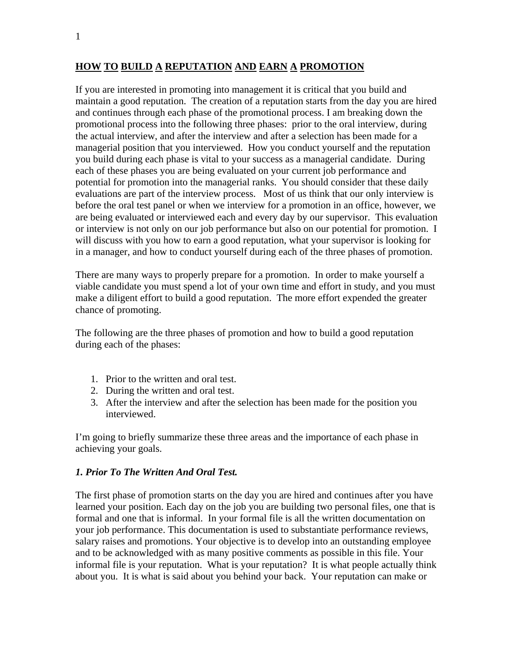## **HOW TO BUILD A REPUTATION AND EARN A PROMOTION**

If you are interested in promoting into management it is critical that you build and maintain a good reputation. The creation of a reputation starts from the day you are hired and continues through each phase of the promotional process. I am breaking down the promotional process into the following three phases: prior to the oral interview, during the actual interview, and after the interview and after a selection has been made for a managerial position that you interviewed. How you conduct yourself and the reputation you build during each phase is vital to your success as a managerial candidate. During each of these phases you are being evaluated on your current job performance and potential for promotion into the managerial ranks. You should consider that these daily evaluations are part of the interview process. Most of us think that our only interview is before the oral test panel or when we interview for a promotion in an office, however, we are being evaluated or interviewed each and every day by our supervisor. This evaluation or interview is not only on our job performance but also on our potential for promotion. I will discuss with you how to earn a good reputation, what your supervisor is looking for in a manager, and how to conduct yourself during each of the three phases of promotion.

There are many ways to properly prepare for a promotion. In order to make yourself a viable candidate you must spend a lot of your own time and effort in study, and you must make a diligent effort to build a good reputation. The more effort expended the greater chance of promoting.

The following are the three phases of promotion and how to build a good reputation during each of the phases:

- 1. Prior to the written and oral test.
- 2. During the written and oral test.
- 3. After the interview and after the selection has been made for the position you interviewed.

I'm going to briefly summarize these three areas and the importance of each phase in achieving your goals.

#### *1. Prior To The Written And Oral Test.*

The first phase of promotion starts on the day you are hired and continues after you have learned your position. Each day on the job you are building two personal files, one that is formal and one that is informal. In your formal file is all the written documentation on your job performance. This documentation is used to substantiate performance reviews, salary raises and promotions. Your objective is to develop into an outstanding employee and to be acknowledged with as many positive comments as possible in this file. Your informal file is your reputation. What is your reputation? It is what people actually think about you. It is what is said about you behind your back. Your reputation can make or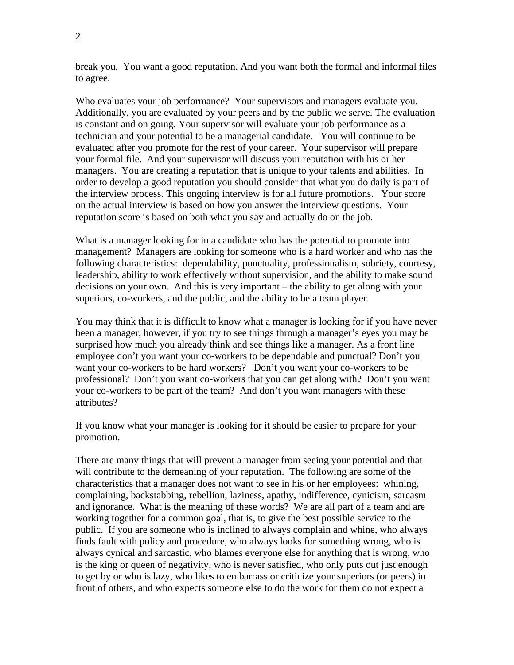break you. You want a good reputation. And you want both the formal and informal files to agree.

Who evaluates your job performance? Your supervisors and managers evaluate you. Additionally, you are evaluated by your peers and by the public we serve. The evaluation is constant and on going. Your supervisor will evaluate your job performance as a technician and your potential to be a managerial candidate. You will continue to be evaluated after you promote for the rest of your career. Your supervisor will prepare your formal file. And your supervisor will discuss your reputation with his or her managers. You are creating a reputation that is unique to your talents and abilities. In order to develop a good reputation you should consider that what you do daily is part of the interview process. This ongoing interview is for all future promotions. Your score on the actual interview is based on how you answer the interview questions. Your reputation score is based on both what you say and actually do on the job.

What is a manager looking for in a candidate who has the potential to promote into management? Managers are looking for someone who is a hard worker and who has the following characteristics: dependability, punctuality, professionalism, sobriety, courtesy, leadership, ability to work effectively without supervision, and the ability to make sound decisions on your own. And this is very important – the ability to get along with your superiors, co-workers, and the public, and the ability to be a team player.

You may think that it is difficult to know what a manager is looking for if you have never been a manager, however, if you try to see things through a manager's eyes you may be surprised how much you already think and see things like a manager. As a front line employee don't you want your co-workers to be dependable and punctual? Don't you want your co-workers to be hard workers? Don't you want your co-workers to be professional? Don't you want co-workers that you can get along with? Don't you want your co-workers to be part of the team? And don't you want managers with these attributes?

If you know what your manager is looking for it should be easier to prepare for your promotion.

There are many things that will prevent a manager from seeing your potential and that will contribute to the demeaning of your reputation. The following are some of the characteristics that a manager does not want to see in his or her employees: whining, complaining, backstabbing, rebellion, laziness, apathy, indifference, cynicism, sarcasm and ignorance. What is the meaning of these words? We are all part of a team and are working together for a common goal, that is, to give the best possible service to the public. If you are someone who is inclined to always complain and whine, who always finds fault with policy and procedure, who always looks for something wrong, who is always cynical and sarcastic, who blames everyone else for anything that is wrong, who is the king or queen of negativity, who is never satisfied, who only puts out just enough to get by or who is lazy, who likes to embarrass or criticize your superiors (or peers) in front of others, and who expects someone else to do the work for them do not expect a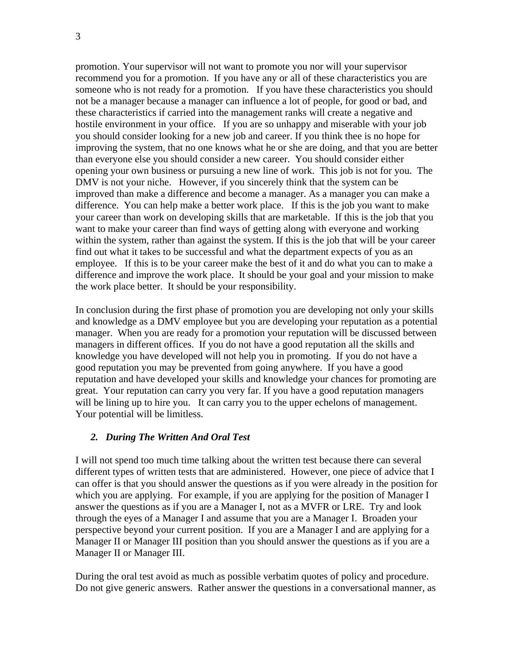promotion. Your supervisor will not want to promote you nor will your supervisor recommend you for a promotion. If you have any or all of these characteristics you are someone who is not ready for a promotion. If you have these characteristics you should not be a manager because a manager can influence a lot of people, for good or bad, and these characteristics if carried into the management ranks will create a negative and hostile environment in your office. If you are so unhappy and miserable with your job you should consider looking for a new job and career. If you think thee is no hope for improving the system, that no one knows what he or she are doing, and that you are better than everyone else you should consider a new career. You should consider either opening your own business or pursuing a new line of work. This job is not for you. The DMV is not your niche. However, if you sincerely think that the system can be improved than make a difference and become a manager. As a manager you can make a difference. You can help make a better work place. If this is the job you want to make your career than work on developing skills that are marketable. If this is the job that you want to make your career than find ways of getting along with everyone and working within the system, rather than against the system. If this is the job that will be your career find out what it takes to be successful and what the department expects of you as an employee. If this is to be your career make the best of it and do what you can to make a difference and improve the work place. It should be your goal and your mission to make the work place better. It should be your responsibility.

In conclusion during the first phase of promotion you are developing not only your skills and knowledge as a DMV employee but you are developing your reputation as a potential manager. When you are ready for a promotion your reputation will be discussed between managers in different offices. If you do not have a good reputation all the skills and knowledge you have developed will not help you in promoting. If you do not have a good reputation you may be prevented from going anywhere. If you have a good reputation and have developed your skills and knowledge your chances for promoting are great. Your reputation can carry you very far. If you have a good reputation managers will be lining up to hire you. It can carry you to the upper echelons of management. Your potential will be limitless.

#### *2. During The Written And Oral Test*

I will not spend too much time talking about the written test because there can several different types of written tests that are administered. However, one piece of advice that I can offer is that you should answer the questions as if you were already in the position for which you are applying. For example, if you are applying for the position of Manager I answer the questions as if you are a Manager I, not as a MVFR or LRE. Try and look through the eyes of a Manager I and assume that you are a Manager I. Broaden your perspective beyond your current position. If you are a Manager I and are applying for a Manager II or Manager III position than you should answer the questions as if you are a Manager II or Manager III.

During the oral test avoid as much as possible verbatim quotes of policy and procedure. Do not give generic answers. Rather answer the questions in a conversational manner, as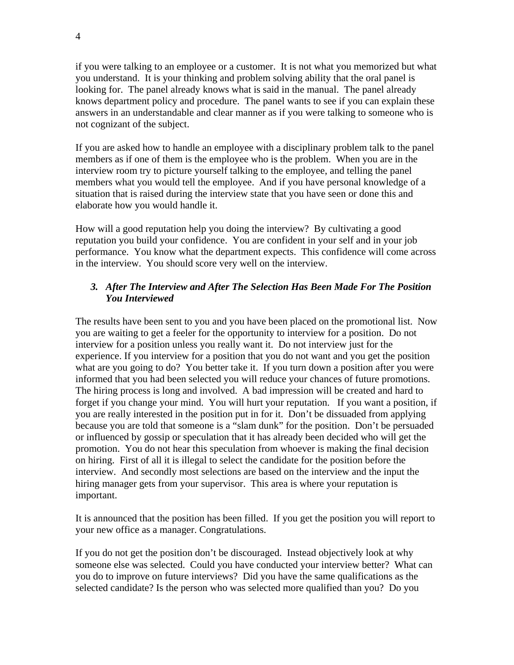if you were talking to an employee or a customer. It is not what you memorized but what you understand. It is your thinking and problem solving ability that the oral panel is looking for. The panel already knows what is said in the manual. The panel already knows department policy and procedure. The panel wants to see if you can explain these answers in an understandable and clear manner as if you were talking to someone who is not cognizant of the subject.

If you are asked how to handle an employee with a disciplinary problem talk to the panel members as if one of them is the employee who is the problem. When you are in the interview room try to picture yourself talking to the employee, and telling the panel members what you would tell the employee. And if you have personal knowledge of a situation that is raised during the interview state that you have seen or done this and elaborate how you would handle it.

How will a good reputation help you doing the interview? By cultivating a good reputation you build your confidence. You are confident in your self and in your job performance. You know what the department expects. This confidence will come across in the interview. You should score very well on the interview.

# *3. After The Interview and After The Selection Has Been Made For The Position You Interviewed*

The results have been sent to you and you have been placed on the promotional list. Now you are waiting to get a feeler for the opportunity to interview for a position. Do not interview for a position unless you really want it. Do not interview just for the experience. If you interview for a position that you do not want and you get the position what are you going to do? You better take it. If you turn down a position after you were informed that you had been selected you will reduce your chances of future promotions. The hiring process is long and involved. A bad impression will be created and hard to forget if you change your mind. You will hurt your reputation. If you want a position, if you are really interested in the position put in for it. Don't be dissuaded from applying because you are told that someone is a "slam dunk" for the position. Don't be persuaded or influenced by gossip or speculation that it has already been decided who will get the promotion. You do not hear this speculation from whoever is making the final decision on hiring. First of all it is illegal to select the candidate for the position before the interview. And secondly most selections are based on the interview and the input the hiring manager gets from your supervisor. This area is where your reputation is important.

It is announced that the position has been filled. If you get the position you will report to your new office as a manager. Congratulations.

If you do not get the position don't be discouraged. Instead objectively look at why someone else was selected. Could you have conducted your interview better? What can you do to improve on future interviews? Did you have the same qualifications as the selected candidate? Is the person who was selected more qualified than you? Do you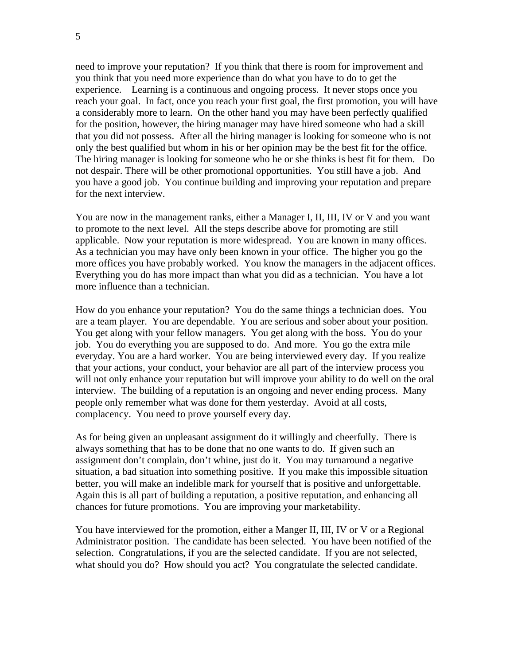need to improve your reputation? If you think that there is room for improvement and you think that you need more experience than do what you have to do to get the experience. Learning is a continuous and ongoing process. It never stops once you reach your goal. In fact, once you reach your first goal, the first promotion, you will have a considerably more to learn. On the other hand you may have been perfectly qualified for the position, however, the hiring manager may have hired someone who had a skill that you did not possess. After all the hiring manager is looking for someone who is not only the best qualified but whom in his or her opinion may be the best fit for the office. The hiring manager is looking for someone who he or she thinks is best fit for them. Do not despair. There will be other promotional opportunities. You still have a job. And you have a good job. You continue building and improving your reputation and prepare for the next interview.

You are now in the management ranks, either a Manager I, II, III, IV or V and you want to promote to the next level. All the steps describe above for promoting are still applicable. Now your reputation is more widespread. You are known in many offices. As a technician you may have only been known in your office. The higher you go the more offices you have probably worked. You know the managers in the adjacent offices. Everything you do has more impact than what you did as a technician. You have a lot more influence than a technician.

How do you enhance your reputation? You do the same things a technician does. You are a team player. You are dependable. You are serious and sober about your position. You get along with your fellow managers. You get along with the boss. You do your job. You do everything you are supposed to do. And more. You go the extra mile everyday. You are a hard worker. You are being interviewed every day. If you realize that your actions, your conduct, your behavior are all part of the interview process you will not only enhance your reputation but will improve your ability to do well on the oral interview. The building of a reputation is an ongoing and never ending process. Many people only remember what was done for them yesterday. Avoid at all costs, complacency. You need to prove yourself every day.

As for being given an unpleasant assignment do it willingly and cheerfully. There is always something that has to be done that no one wants to do. If given such an assignment don't complain, don't whine, just do it. You may turnaround a negative situation, a bad situation into something positive. If you make this impossible situation better, you will make an indelible mark for yourself that is positive and unforgettable. Again this is all part of building a reputation, a positive reputation, and enhancing all chances for future promotions. You are improving your marketability.

You have interviewed for the promotion, either a Manger II, III, IV or V or a Regional Administrator position. The candidate has been selected. You have been notified of the selection. Congratulations, if you are the selected candidate. If you are not selected, what should you do? How should you act? You congratulate the selected candidate.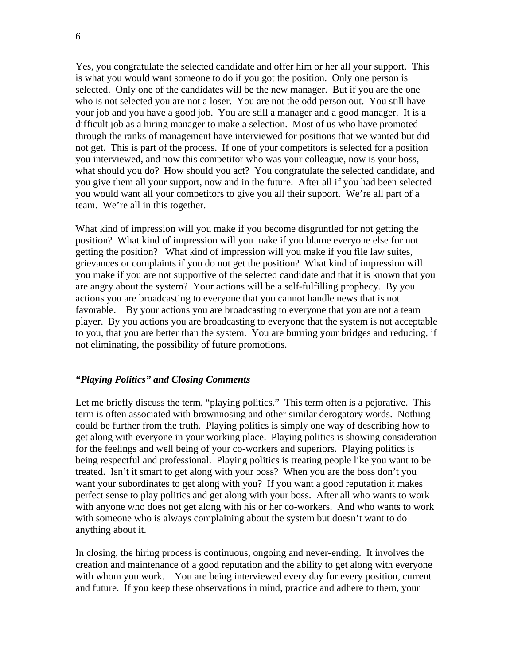Yes, you congratulate the selected candidate and offer him or her all your support. This is what you would want someone to do if you got the position. Only one person is selected. Only one of the candidates will be the new manager. But if you are the one who is not selected you are not a loser. You are not the odd person out. You still have your job and you have a good job. You are still a manager and a good manager. It is a difficult job as a hiring manager to make a selection. Most of us who have promoted through the ranks of management have interviewed for positions that we wanted but did not get. This is part of the process. If one of your competitors is selected for a position you interviewed, and now this competitor who was your colleague, now is your boss, what should you do? How should you act? You congratulate the selected candidate, and you give them all your support, now and in the future. After all if you had been selected you would want all your competitors to give you all their support. We're all part of a team. We're all in this together.

What kind of impression will you make if you become disgruntled for not getting the position? What kind of impression will you make if you blame everyone else for not getting the position? What kind of impression will you make if you file law suites, grievances or complaints if you do not get the position? What kind of impression will you make if you are not supportive of the selected candidate and that it is known that you are angry about the system? Your actions will be a self-fulfilling prophecy. By you actions you are broadcasting to everyone that you cannot handle news that is not favorable. By your actions you are broadcasting to everyone that you are not a team player. By you actions you are broadcasting to everyone that the system is not acceptable to you, that you are better than the system. You are burning your bridges and reducing, if not eliminating, the possibility of future promotions.

### *"Playing Politics" and Closing Comments*

Let me briefly discuss the term, "playing politics." This term often is a pejorative. This term is often associated with brownnosing and other similar derogatory words. Nothing could be further from the truth. Playing politics is simply one way of describing how to get along with everyone in your working place. Playing politics is showing consideration for the feelings and well being of your co-workers and superiors. Playing politics is being respectful and professional. Playing politics is treating people like you want to be treated. Isn't it smart to get along with your boss? When you are the boss don't you want your subordinates to get along with you? If you want a good reputation it makes perfect sense to play politics and get along with your boss. After all who wants to work with anyone who does not get along with his or her co-workers. And who wants to work with someone who is always complaining about the system but doesn't want to do anything about it.

In closing, the hiring process is continuous, ongoing and never-ending. It involves the creation and maintenance of a good reputation and the ability to get along with everyone with whom you work. You are being interviewed every day for every position, current and future. If you keep these observations in mind, practice and adhere to them, your